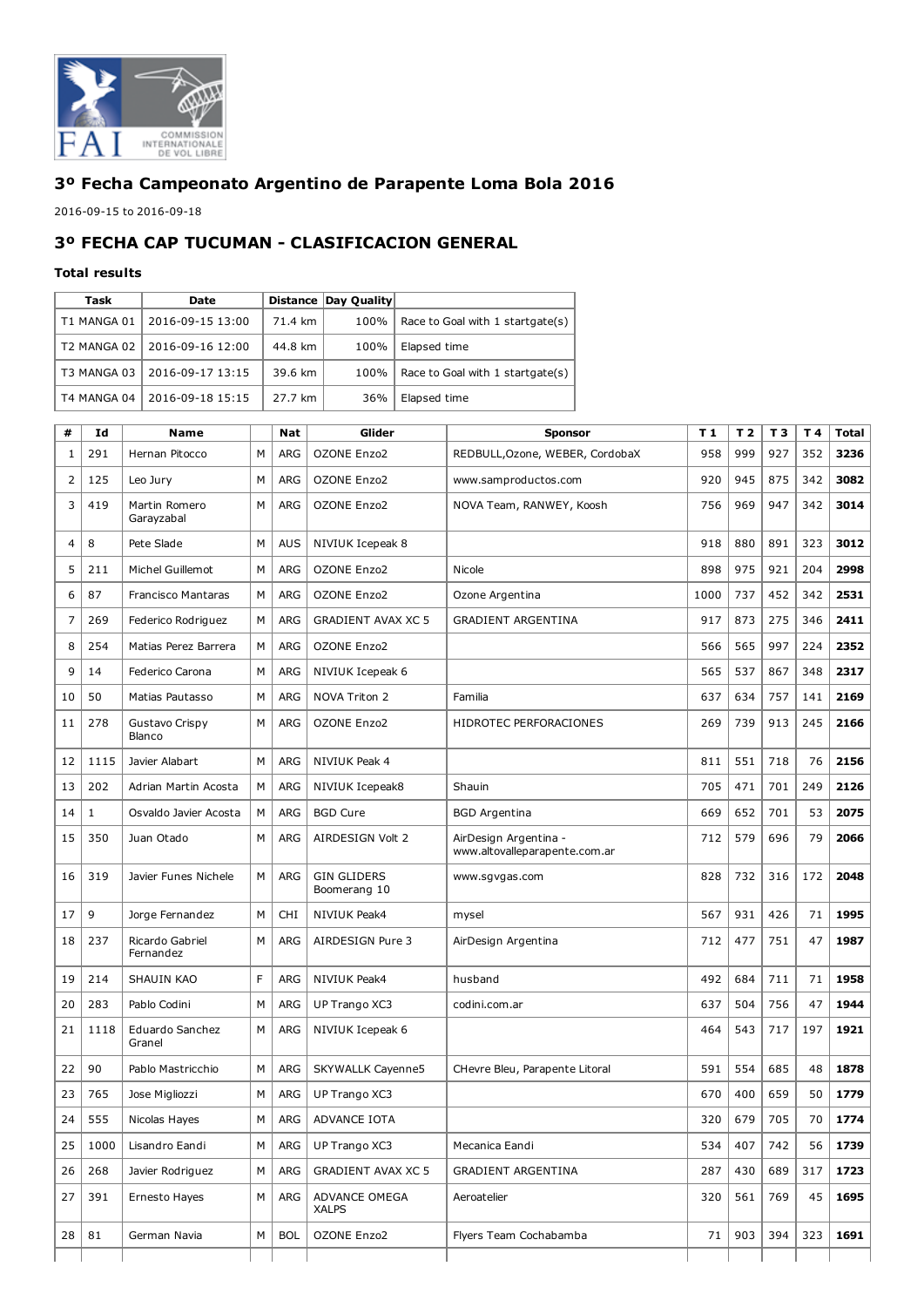

## 3º Fecha Campeonato Argentino de Parapente Loma Bola 2016

2016-09-15 to 2016-09-18

## 3º FECHA CAP TUCUMAN CLASIFICACION GENERAL

## Total results

| Task        | Date             |         | Distance Day Quality |                                  |
|-------------|------------------|---------|----------------------|----------------------------------|
| T1 MANGA 01 | 2016-09-15 13:00 | 71.4 km | 100%                 | Race to Goal with 1 startgate(s) |
| T2 MANGA 02 | 2016-09-16 12:00 | 44.8 km | 100%                 | Elapsed time                     |
| T3 MANGA 03 | 2016-09-17 13:15 | 39.6 km | 100%                 | Race to Goal with 1 startgate(s) |
| T4 MANGA 04 | 2016-09-18 15:15 | 27.7 km | 36%                  | Elapsed time                     |

| #  | Id           | Name                         |   | <b>Nat</b> | Glider                             | <b>Sponsor</b>                                         | T1   | T <sub>2</sub> | T <sub>3</sub> | T 4 | <b>Total</b> |
|----|--------------|------------------------------|---|------------|------------------------------------|--------------------------------------------------------|------|----------------|----------------|-----|--------------|
| 1  | 291          | Hernan Pitocco               | M | <b>ARG</b> | <b>OZONE Enzo2</b>                 | REDBULL, Ozone, WEBER, CordobaX                        | 958  | 999            | 927            | 352 | 3236         |
| 2  | 125          | Leo Jury                     | М | <b>ARG</b> | <b>OZONE Enzo2</b>                 | www.samproductos.com                                   | 920  | 945            | 875            | 342 | 3082         |
| 3  | 419          | Martin Romero<br>Garayzabal  | М | <b>ARG</b> | <b>OZONE Enzo2</b>                 | NOVA Team, RANWEY, Koosh                               | 756  | 969            | 947            | 342 | 3014         |
| 4  | 8            | Pete Slade                   | M | <b>AUS</b> | NIVIUK Icepeak 8                   |                                                        | 918  | 880            | 891            | 323 | 3012         |
| 5  | 211          | Michel Guillemot             | М | <b>ARG</b> | <b>OZONE Enzo2</b>                 | Nicole                                                 | 898  | 975            | 921            | 204 | 2998         |
| 6  | 87           | <b>Francisco Mantaras</b>    | М | <b>ARG</b> | <b>OZONE Enzo2</b>                 | Ozone Argentina                                        | 1000 | 737            | 452            | 342 | 2531         |
| 7  | 269          | Federico Rodriguez           | М | <b>ARG</b> | <b>GRADIENT AVAX XC 5</b>          | <b>GRADIENT ARGENTINA</b>                              | 917  | 873            | 275            | 346 | 2411         |
| 8  | 254          | Matias Perez Barrera         | М | <b>ARG</b> | <b>OZONE Enzo2</b>                 |                                                        | 566  | 565            | 997            | 224 | 2352         |
| 9  | 14           | Federico Carona              | М | <b>ARG</b> | NIVIUK Icepeak 6                   |                                                        | 565  | 537            | 867            | 348 | 2317         |
| 10 | 50           | Matias Pautasso              | М | <b>ARG</b> | NOVA Triton 2                      | Familia                                                | 637  | 634            | 757            | 141 | 2169         |
| 11 | 278          | Gustavo Crispy<br>Blanco     | М | <b>ARG</b> | <b>OZONE Enzo2</b>                 | HIDROTEC PERFORACIONES                                 | 269  | 739            | 913            | 245 | 2166         |
| 12 | 1115         | Javier Alabart               | М | <b>ARG</b> | NIVIUK Peak 4                      |                                                        | 811  | 551            | 718            | 76  | 2156         |
| 13 | 202          | Adrian Martin Acosta         | М | <b>ARG</b> | NIVIUK Icepeak8                    | Shauin                                                 | 705  | 471            | 701            | 249 | 2126         |
| 14 | $\mathbf{1}$ | Osvaldo Javier Acosta        | M | <b>ARG</b> | <b>BGD Cure</b>                    | <b>BGD</b> Argentina                                   | 669  | 652            | 701            | 53  | 2075         |
| 15 | 350          | Juan Otado                   | М | <b>ARG</b> | AIRDESIGN Volt 2                   | AirDesign Argentina -<br>www.altovalleparapente.com.ar | 712  | 579            | 696            | 79  | 2066         |
| 16 | 319          | Javier Funes Nichele         | М | <b>ARG</b> | <b>GIN GLIDERS</b><br>Boomerang 10 | www.sgvgas.com                                         | 828  | 732            | 316            | 172 | 2048         |
| 17 | 9            | Jorge Fernandez              | M | <b>CHI</b> | <b>NIVIUK Peak4</b>                | mysel                                                  | 567  | 931            | 426            | 71  | 1995         |
| 18 | 237          | Ricardo Gabriel<br>Fernandez | M | <b>ARG</b> | AIRDESIGN Pure 3                   | AirDesign Argentina                                    | 712  | 477            | 751            | 47  | 1987         |
| 19 | 214          | SHAUIN KAO                   | F | ARG        | NIVIUK Peak4                       | husband                                                | 492  | 684            | 711            | 71  | 1958         |
| 20 | 283          | Pablo Codini                 | М | <b>ARG</b> | UP Trango XC3                      | codini.com.ar                                          | 637  | 504            | 756            | 47  | 1944         |
| 21 | 1118         | Eduardo Sanchez<br>Granel    | М | <b>ARG</b> | NIVIUK Icepeak 6                   |                                                        | 464  | 543            | 717            | 197 | 1921         |
| 22 | 90           | Pablo Mastricchio            | M | <b>ARG</b> | SKYWALLK Cayenne5                  | CHevre Bleu, Parapente Litoral                         | 591  | 554            | 685            | 48  | 1878         |
| 23 | 765          | Jose Migliozzi               | М | <b>ARG</b> | UP Trango XC3                      |                                                        | 670  | 400            | 659            | 50  | 1779         |
| 24 | 555          | Nicolas Hayes                | М | ARG        | ADVANCE IOTA                       |                                                        | 320  | 679            | 705            | 70  | 1774         |
| 25 | 1000         | Lisandro Eandi               | М | ARG        | UP Trango XC3                      | Mecanica Eandi                                         | 534  | 407            | 742            | 56  | 1739         |
| 26 | 268          | Javier Rodriguez             | М | <b>ARG</b> | <b>GRADIENT AVAX XC 5</b>          | <b>GRADIENT ARGENTINA</b>                              | 287  | 430            | 689            | 317 | 1723         |
| 27 | 391          | Ernesto Hayes                | М | ARG        | ADVANCE OMEGA<br><b>XALPS</b>      | Aeroatelier                                            | 320  | 561            | 769            | 45  | 1695         |
| 28 | 81           | German Navia                 | М | <b>BOL</b> | OZONE Enzo2                        | Flyers Team Cochabamba                                 | 71   | 903            | 394            | 323 | 1691         |
|    |              |                              |   |            |                                    |                                                        |      |                |                |     |              |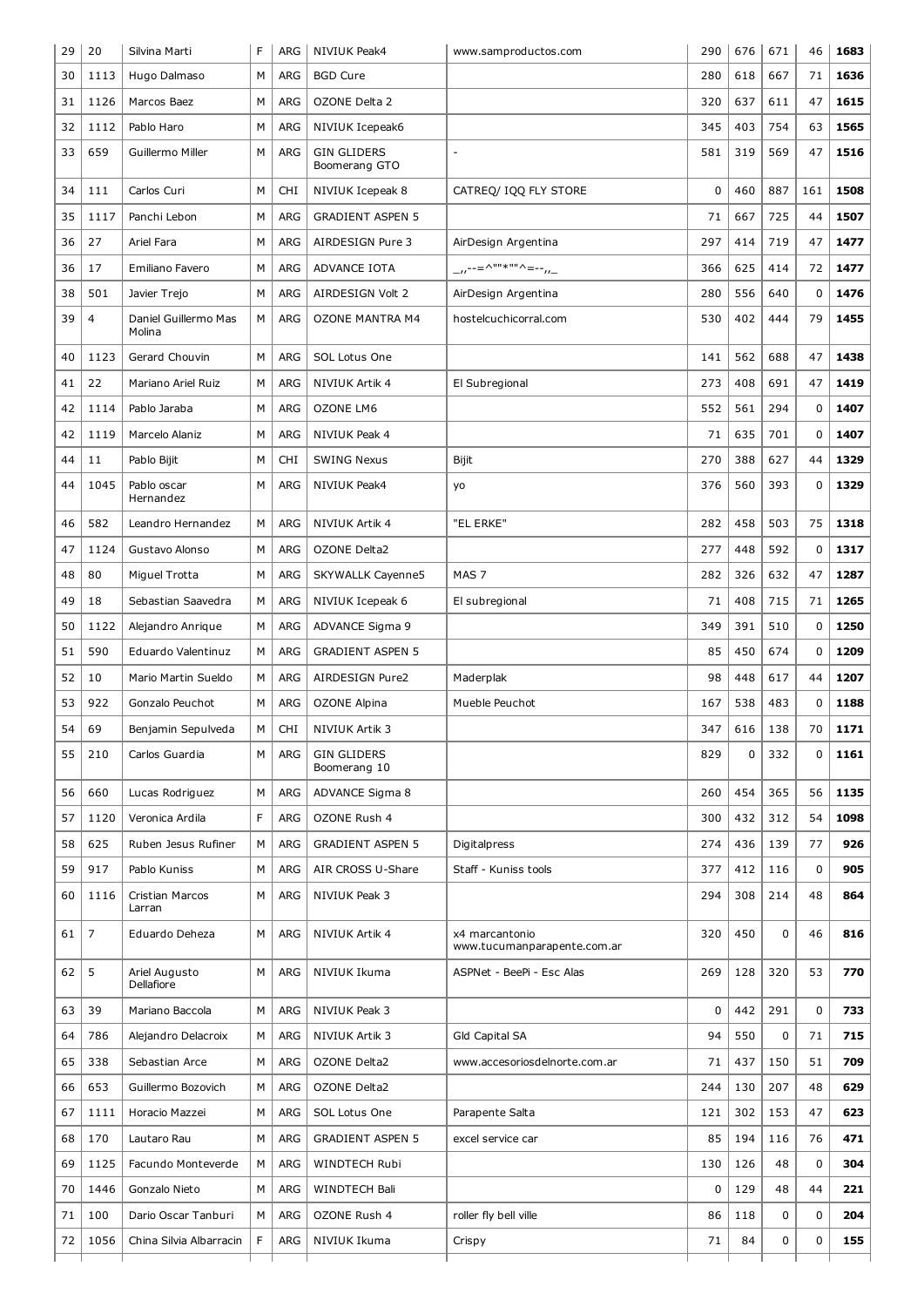| 29 | 20             | Silvina Marti                  | F | ARG        | NIVIUK Peak4                        | www.samproductos.com                          | 290         | 676 | 671 | 46          | 1683 |
|----|----------------|--------------------------------|---|------------|-------------------------------------|-----------------------------------------------|-------------|-----|-----|-------------|------|
| 30 | 1113           | Hugo Dalmaso                   | М | ARG        | <b>BGD Cure</b>                     |                                               | 280         | 618 | 667 | 71          | 1636 |
| 31 | 1126           | Marcos Baez                    | М | ARG        | OZONE Delta 2                       |                                               | 320         | 637 | 611 | 47          | 1615 |
| 32 | 1112           | Pablo Haro                     | М | ARG        | NIVIUK Icepeak6                     |                                               | 345         | 403 | 754 | 63          | 1565 |
| 33 | 659            | Guillermo Miller               | M | ARG        | <b>GIN GLIDERS</b><br>Boomerang GTO |                                               | 581         | 319 | 569 | 47          | 1516 |
| 34 | 111            | Carlos Curi                    | м | <b>CHI</b> | NIVIUK Icepeak 8                    | CATREQ/ IQQ FLY STORE                         | 0           | 460 | 887 | 161         | 1508 |
| 35 | 1117           | Panchi Lebon                   | М | ARG        | <b>GRADIENT ASPEN 5</b>             |                                               | 71          | 667 | 725 | 44          | 1507 |
| 36 | 27             | Ariel Fara                     | М | <b>ARG</b> | AIRDESIGN Pure 3                    | AirDesign Argentina                           | 297         | 414 | 719 | 47          | 1477 |
| 36 | 17             | Emiliano Favero                | М | ARG        | ADVANCE IOTA                        | __,,--=^""*""^=-- <sub>,,_</sub>              | 366         | 625 | 414 | 72          | 1477 |
| 38 | 501            | Javier Trejo                   | м | ARG        | AIRDESIGN Volt 2                    | AirDesign Argentina                           | 280         | 556 | 640 | 0           | 1476 |
| 39 | 4              | Daniel Guillermo Mas<br>Molina | М | ARG        | <b>OZONE MANTRA M4</b>              | hostelcuchicorral.com                         | 530         | 402 | 444 | 79          | 1455 |
| 40 | 1123           | Gerard Chouvin                 | M | ARG        | SOL Lotus One                       |                                               | 141         | 562 | 688 | 47          | 1438 |
| 41 | 22             | Mariano Ariel Ruiz             | М | <b>ARG</b> | NIVIUK Artik 4                      | El Subregional                                | 273         | 408 | 691 | 47          | 1419 |
| 42 | 1114           | Pablo Jaraba                   | M | <b>ARG</b> | <b>OZONE LM6</b>                    |                                               | 552         | 561 | 294 | $\mathbf 0$ | 1407 |
| 42 | 1119           | Marcelo Alaniz                 | M | <b>ARG</b> | NIVIUK Peak 4                       |                                               | 71          | 635 | 701 | 0           | 1407 |
| 44 | 11             | Pablo Bijit                    | м | <b>CHI</b> | <b>SWING Nexus</b>                  | Bijit                                         | 270         | 388 | 627 | 44          | 1329 |
| 44 | 1045           | Pablo oscar<br>Hernandez       | М | ARG        | <b>NIVIUK Peak4</b>                 | yo                                            | 376         | 560 | 393 | $\mathbf 0$ | 1329 |
| 46 | 582            | Leandro Hernandez              | М | ARG        | NIVIUK Artik 4                      | "EL ERKE"                                     | 282         | 458 | 503 | 75          | 1318 |
| 47 | 1124           | Gustavo Alonso                 | М | <b>ARG</b> | OZONE Delta2                        |                                               | 277         | 448 | 592 | $\mathbf 0$ | 1317 |
| 48 | 80             | Miguel Trotta                  | М | ARG        | <b>SKYWALLK Cayenne5</b>            | MAS <sub>7</sub>                              | 282         | 326 | 632 | 47          | 1287 |
| 49 | 18             | Sebastian Saavedra             | М | <b>ARG</b> | NIVIUK Icepeak 6                    | El subregional                                | 71          | 408 | 715 | 71          | 1265 |
| 50 | 1122           | Alejandro Anrique              | М | ARG        | ADVANCE Sigma 9                     |                                               | 349         | 391 | 510 | 0           | 1250 |
| 51 | 590            | Eduardo Valentinuz             | М | <b>ARG</b> | <b>GRADIENT ASPEN 5</b>             |                                               | 85          | 450 | 674 | $\mathbf 0$ | 1209 |
| 52 | 10             | Mario Martin Sueldo            | М | <b>ARG</b> | AIRDESIGN Pure2                     | Maderplak                                     | 98          | 448 | 617 | 44          | 1207 |
| 53 | 922            | Gonzalo Peuchot                | м | ARG        | <b>OZONE Alpina</b>                 | Mueble Peuchot                                | 167         | 538 | 483 | 0           | 1188 |
| 54 | 69             | Benjamin Sepulveda             | М | <b>CHI</b> | NIVIUK Artik 3                      |                                               | 347         | 616 | 138 | 70          | 1171 |
| 55 | 210            | Carlos Guardia                 | М | ARG        | <b>GIN GLIDERS</b><br>Boomerang 10  |                                               | 829         | 0   | 332 | $\mathbf 0$ | 1161 |
| 56 | 660            | Lucas Rodriguez                | M | ARG        | ADVANCE Sigma 8                     |                                               | 260         | 454 | 365 | 56          | 1135 |
| 57 | 1120           | Veronica Ardila                | F | ARG        | OZONE Rush 4                        |                                               | 300         | 432 | 312 | 54          | 1098 |
| 58 | 625            | Ruben Jesus Rufiner            | М | ARG        | <b>GRADIENT ASPEN 5</b>             | Digitalpress                                  | 274         | 436 | 139 | 77          | 926  |
| 59 | 917            | Pablo Kuniss                   | М | ARG        | AIR CROSS U-Share                   | Staff - Kuniss tools                          | 377         | 412 | 116 | $\mathbf 0$ | 905  |
| 60 | 1116           | Cristian Marcos<br>Larran      | М | ARG        | NIVIUK Peak 3                       |                                               | 294         | 308 | 214 | 48          | 864  |
| 61 | $\overline{7}$ | Eduardo Deheza                 | М | ARG        | NIVIUK Artik 4                      | x4 marcantonio<br>www.tucumanparapente.com.ar | 320         | 450 | 0   | 46          | 816  |
| 62 | 5              | Ariel Augusto<br>Dellafiore    | М | ARG        | NIVIUK Ikuma                        | ASPNet - BeePi - Esc Alas                     | 269         | 128 | 320 | 53          | 770  |
| 63 | 39             | Mariano Baccola                | М | ARG        | NIVIUK Peak 3                       |                                               | $\mathbf 0$ | 442 | 291 | 0           | 733  |
| 64 | 786            | Alejandro Delacroix            | М | ARG        | NIVIUK Artik 3                      | Gld Capital SA                                | 94          | 550 | 0   | 71          | 715  |
| 65 | 338            | Sebastian Arce                 | М | ARG        | OZONE Delta2                        | www.accesoriosdelnorte.com.ar                 | 71          | 437 | 150 | 51          | 709  |
| 66 | 653            | Guillermo Bozovich             | М | ARG        | OZONE Delta2                        |                                               | 244         | 130 | 207 | 48          | 629  |
| 67 | 1111           | Horacio Mazzei                 | М | ARG        | SOL Lotus One                       | Parapente Salta                               | 121         | 302 | 153 | 47          | 623  |
| 68 | 170            | Lautaro Rau                    | М | ARG        | <b>GRADIENT ASPEN 5</b>             | excel service car                             | 85          | 194 | 116 | 76          | 471  |
| 69 | 1125           | Facundo Monteverde             | М | ARG        | WINDTECH Rubi                       |                                               | 130         | 126 | 48  | $\mathbf 0$ | 304  |
| 70 | 1446           | Gonzalo Nieto                  | М | ARG        | WINDTECH Bali                       |                                               | 0           | 129 | 48  | 44          | 221  |
| 71 | 100            | Dario Oscar Tanburi            | М | ARG        | OZONE Rush 4                        | roller fly bell ville                         | 86          | 118 | 0   | $\mathbf 0$ | 204  |
| 72 | 1056           | China Silvia Albarracin        | F | ARG        | NIVIUK Ikuma                        | Crispy                                        | 71          | 84  | 0   | 0           | 155  |
|    |                |                                |   |            |                                     |                                               |             |     |     |             |      |